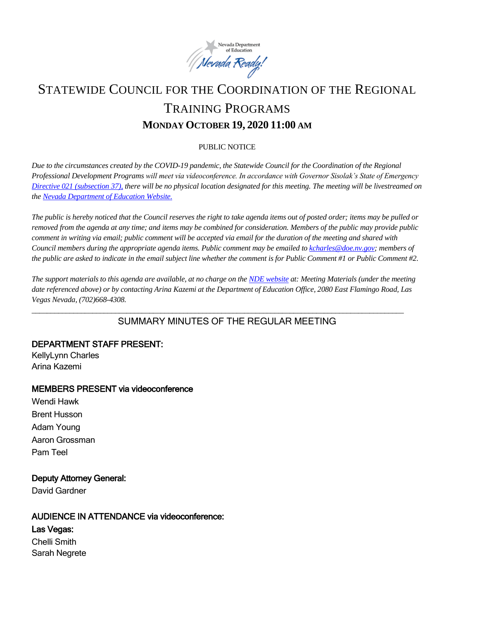

# STATEWIDE COUNCIL FOR THE COORDINATION OF THE REGIONAL TRAINING PROGRAMS **MONDAY OCTOBER 19, 2020 11:00 AM**

#### PUBLIC NOTICE

*Due to the circumstances created by the COVID-19 pandemic, the Statewide Council for the Coordination of the Regional Professional Development Programs will meet via videoconference. In accordance with Governor Sisolak's State of Emergency [Directive 021 \(subsection 37\),](http://gov.nv.gov/News/Emergency_Orders/2020/2020-05-28_-_COVID-19_Declaration_of_Emergency_Directive_021_-_Phase_Two_Reopening_Plan_(Attachments)/) there will be no physical location designated for this meeting. The meeting will be livestreamed on th[e Nevada Department of Education Website.](http://www.doe.nv.gov/Boards_Commissions_Councils/Statewide_Council_Reg_Training/Statewide_Council_for_the_Coordination_of_Regional_Training_Programs/)*

*The public is hereby noticed that the Council reserves the right to take agenda items out of posted order; items may be pulled or removed from the agenda at any time; and items may be combined for consideration. Members of the public may provide public comment in writing via email; public comment will be accepted via email for the duration of the meeting and shared with Council members during the appropriate agenda items. Public comment may be emailed t[o kcharles@doe.nv.gov;](mailto:kcharles@doe.nv.gov)* members of *the public are asked to indicate in the email subject line whether the comment is for Public Comment #1 or Public Comment #2.* 

*The support materials to this agenda are available, at no charge on the [NDE website](http://www.doe.nv.gov/Boards_Commissions_Councils/Statewide_Council_Reg_Training/Statewide_Council_for_the_Coordination_of_Regional_Training_Programs/) at: Meeting Materials (under the meeting date referenced above) or by contacting Arina Kazemi at the Department of Education Office, 2080 East Flamingo Road, Las Vegas Nevada, (702)668-4308.* 

*\_\_\_\_\_\_\_\_\_\_\_\_\_\_\_\_\_\_\_\_\_\_\_\_\_\_\_\_\_\_\_\_\_\_\_\_\_\_\_\_\_\_\_\_\_\_\_\_\_\_\_\_\_\_\_\_\_\_\_\_\_\_\_\_\_\_\_\_\_\_\_\_\_\_\_\_\_\_\_\_\_\_\_\_\_\_\_\_\_\_\_\_\_\_\_\_\_\_*

# SUMMARY MINUTES OF THE REGULAR MEETING.

DEPARTMENT STAFF PRESENT: KellyLynn Charles Arina Kazemi

## MEMBERS PRESENT via videoconference

Wendi Hawk Brent Husson Adam Young Aaron Grossman Pam Teel

## Deputy Attorney General:

David Gardner

## AUDIENCE IN ATTENDANCE via videoconference:

Las Vegas:

Chelli Smith Sarah Negrete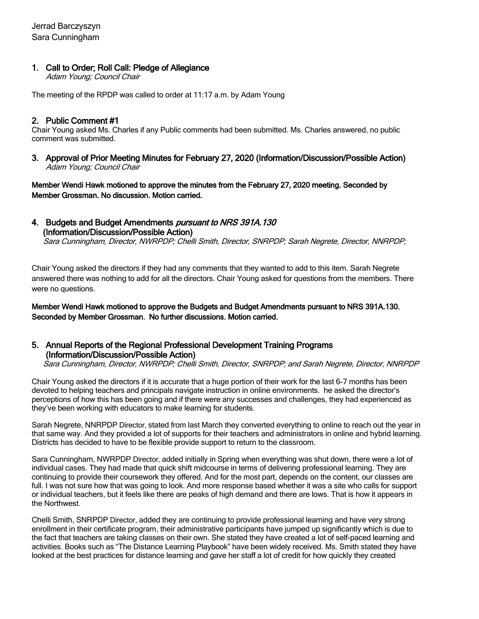## 1. Call to Order; Roll Call: Pledge of Allegiance

Adam Young; Council Chair

The meeting of the RPDP was called to order at 11:17 a.m. by Adam Young

## 2. Public Comment #1

Chair Young asked Ms. Charles if any Public comments had been submitted. Ms. Charles answered, no public comment was submitted.

3. Approval of Prior Meeting Minutes for February 27, 2020 (Information/Discussion/Possible Action) Adam Young; Council Chair

Member Wendi Hawk motioned to approve the minutes from the February 27, 2020 meeting. Seconded by Member Grossman. No discussion. Motion carried.

4. Budgets and Budget Amendments pursuant to NRS 391A.130 (Information/Discussion/Possible Action)

Sara Cunningham, Director, NWRPDP; Chelli Smith, Director, SNRPDP; Sarah Negrete, Director, NNRPDP;

Chair Young asked the directors if they had any comments that they wanted to add to this item. Sarah Negrete answered there was nothing to add for all the directors. Chair Young asked for questions from the members. There were no questions.

Member Wendi Hawk motioned to approve the Budgets and Budget Amendments pursuant to NRS 391A.130. Seconded by Member Grossman. No further discussions. Motion carried.

#### 5. Annual Reports of the Regional Professional Development Training Programs (Information/Discussion/Possible Action)

Sara Cunningham, Director, NWRPDP; Chelli Smith, Director, SNRPDP; and Sarah Negrete, Director, NNRPDP

Chair Young asked the directors if it is accurate that a huge portion of their work for the last 6-7 months has been devoted to helping teachers and principals navigate instruction in online environments. he asked the director's perceptions of how this has been going and if there were any successes and challenges, they had experienced as they've been working with educators to make learning for students.

Sarah Negrete, NNRPDP Director, stated from last March they converted everything to online to reach out the year in that same way. And they provided a lot of supports for their teachers and administrators in online and hybrid learning. Districts has decided to have to be flexible provide support to return to the classroom.

Sara Cunningham, NWRPDP Director, added initially in Spring when everything was shut down, there were a lot of individual cases. They had made that quick shift midcourse in terms of delivering professional learning. They are continuing to provide their coursework they offered. And for the most part, depends on the content, our classes are full. I was not sure how that was going to look. And more response based whether it was a site who calls for support or individual teachers, but it feels like there are peaks of high demand and there are lows. That is how it appears in the Northwest.

Chelli Smith, SNRPDP Director, added they are continuing to provide professional learning and have very strong enrollment in their certificate program, their administrative participants have jumped up significantly which is due to the fact that teachers are taking classes on their own. She stated they have created a lot of self-paced learning and activities. Books such as "The Distance Learning Playbook" have been widely received. Ms. Smith stated they have looked at the best practices for distance learning and gave her staff a lot of credit for how quickly they created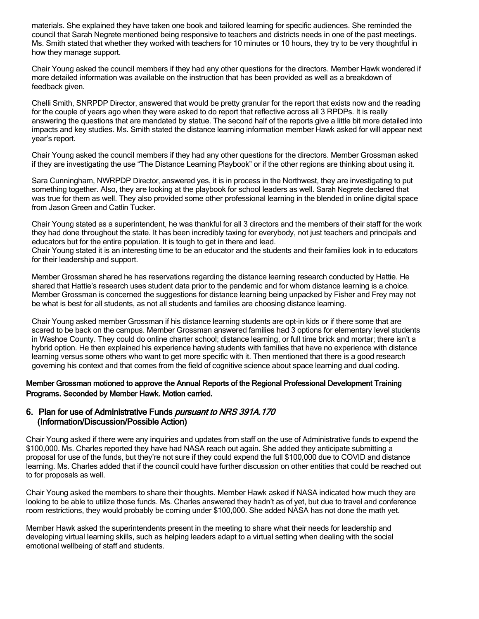materials. She explained they have taken one book and tailored learning for specific audiences. She reminded the council that Sarah Negrete mentioned being responsive to teachers and districts needs in one of the past meetings. Ms. Smith stated that whether they worked with teachers for 10 minutes or 10 hours, they try to be very thoughtful in how they manage support.

Chair Young asked the council members if they had any other questions for the directors. Member Hawk wondered if more detailed information was available on the instruction that has been provided as well as a breakdown of feedback given.

Chelli Smith, SNRPDP Director, answered that would be pretty granular for the report that exists now and the reading for the couple of years ago when they were asked to do report that reflective across all 3 RPDPs. It is really answering the questions that are mandated by statue. The second half of the reports give a little bit more detailed into impacts and key studies. Ms. Smith stated the distance learning information member Hawk asked for will appear next year's report.

Chair Young asked the council members if they had any other questions for the directors. Member Grossman asked if they are investigating the use "The Distance Learning Playbook" or if the other regions are thinking about using it.

Sara Cunningham, NWRPDP Director, answered yes, it is in process in the Northwest, they are investigating to put something together. Also, they are looking at the playbook for school leaders as well. Sarah Negrete declared that was true for them as well. They also provided some other professional learning in the blended in online digital space from Jason Green and Catlin Tucker.

Chair Young stated as a superintendent, he was thankful for all 3 directors and the members of their staff for the work they had done throughout the state. It has been incredibly taxing for everybody, not just teachers and principals and educators but for the entire population. It is tough to get in there and lead.

Chair Young stated it is an interesting time to be an educator and the students and their families look in to educators for their leadership and support.

Member Grossman shared he has reservations regarding the distance learning research conducted by Hattie. He shared that Hattie's research uses student data prior to the pandemic and for whom distance learning is a choice. Member Grossman is concerned the suggestions for distance learning being unpacked by Fisher and Frey may not be what is best for all students, as not all students and families are choosing distance learning.

Chair Young asked member Grossman if his distance learning students are opt-in kids or if there some that are scared to be back on the campus. Member Grossman answered families had 3 options for elementary level students in Washoe County. They could do online charter school; distance learning, or full time brick and mortar; there isn't a hybrid option. He then explained his experience having students with families that have no experience with distance learning versus some others who want to get more specific with it. Then mentioned that there is a good research governing his context and that comes from the field of cognitive science about space learning and dual coding.

Member Grossman motioned to approve the Annual Reports of the Regional Professional Development Training Programs. Seconded by Member Hawk. Motion carried.

#### 6. Plan for use of Administrative Funds *pursuant to NRS 391A.170* (Information/Discussion/Possible Action)

Chair Young asked if there were any inquiries and updates from staff on the use of Administrative funds to expend the \$100,000. Ms. Charles reported they have had NASA reach out again. She added they anticipate submitting a proposal for use of the funds, but they're not sure if they could expend the full \$100,000 due to COVID and distance learning. Ms. Charles added that if the council could have further discussion on other entities that could be reached out to for proposals as well.

Chair Young asked the members to share their thoughts. Member Hawk asked if NASA indicated how much they are looking to be able to utilize those funds. Ms. Charles answered they hadn't as of yet, but due to travel and conference room restrictions, they would probably be coming under \$100,000. She added NASA has not done the math yet.

Member Hawk asked the superintendents present in the meeting to share what their needs for leadership and developing virtual learning skills, such as helping leaders adapt to a virtual setting when dealing with the social emotional wellbeing of staff and students.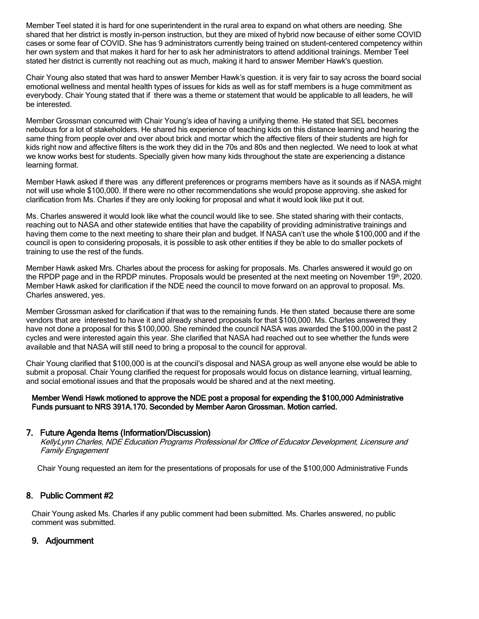Member Teel stated it is hard for one superintendent in the rural area to expand on what others are needing. She shared that her district is mostly in-person instruction, but they are mixed of hybrid now because of either some COVID cases or some fear of COVID. She has 9 administrators currently being trained on student-centered competency within her own system and that makes it hard for her to ask her administrators to attend additional trainings. Member Teel stated her district is currently not reaching out as much, making it hard to answer Member Hawk's question.

Chair Young also stated that was hard to answer Member Hawk's question. it is very fair to say across the board social emotional wellness and mental health types of issues for kids as well as for staff members is a huge commitment as everybody. Chair Young stated that if there was a theme or statement that would be applicable to all leaders, he will be interested.

Member Grossman concurred with Chair Young's idea of having a unifying theme. He stated that SEL becomes nebulous for a lot of stakeholders. He shared his experience of teaching kids on this distance learning and hearing the same thing from people over and over about brick and mortar which the affective filers of their students are high for kids right now and affective filters is the work they did in the 70s and 80s and then neglected. We need to look at what we know works best for students. Specially given how many kids throughout the state are experiencing a distance learning format.

Member Hawk asked if there was any different preferences or programs members have as it sounds as if NASA might not will use whole \$100,000. If there were no other recommendations she would propose approving. she asked for clarification from Ms. Charles if they are only looking for proposal and what it would look like put it out.

Ms. Charles answered it would look like what the council would like to see. She stated sharing with their contacts, reaching out to NASA and other statewide entities that have the capability of providing administrative trainings and having them come to the next meeting to share their plan and budget. If NASA can't use the whole \$100,000 and if the council is open to considering proposals, it is possible to ask other entities if they be able to do smaller pockets of training to use the rest of the funds.

Member Hawk asked Mrs. Charles about the process for asking for proposals. Ms. Charles answered it would go on the RPDP page and in the RPDP minutes. Proposals would be presented at the next meeting on November 19<sup>th</sup>, 2020. Member Hawk asked for clarification if the NDE need the council to move forward on an approval to proposal. Ms. Charles answered, yes.

Member Grossman asked for clarification if that was to the remaining funds. He then stated because there are some vendors that are interested to have it and already shared proposals for that \$100,000. Ms. Charles answered they have not done a proposal for this \$100,000. She reminded the council NASA was awarded the \$100,000 in the past 2 cycles and were interested again this year. She clarified that NASA had reached out to see whether the funds were available and that NASA will still need to bring a proposal to the council for approval.

Chair Young clarified that \$100,000 is at the council's disposal and NASA group as well anyone else would be able to submit a proposal. Chair Young clarified the request for proposals would focus on distance learning, virtual learning, and social emotional issues and that the proposals would be shared and at the next meeting.

#### Member Wendi Hawk motioned to approve the NDE post a proposal for expending the \$100,000 Administrative Funds pursuant to NRS 391A.170. Seconded by Member Aaron Grossman. Motion carried.

## 7. Future Agenda Items (Information/Discussion)

KellyLynn Charles, NDE Education Programs Professional for Office of Educator Development, Licensure and Family Engagement

Chair Young requested an item for the presentations of proposals for use of the \$100,000 Administrative Funds

## 8. Public Comment #2

Chair Young asked Ms. Charles if any public comment had been submitted. Ms. Charles answered, no public comment was submitted.

## 9. Adjournment